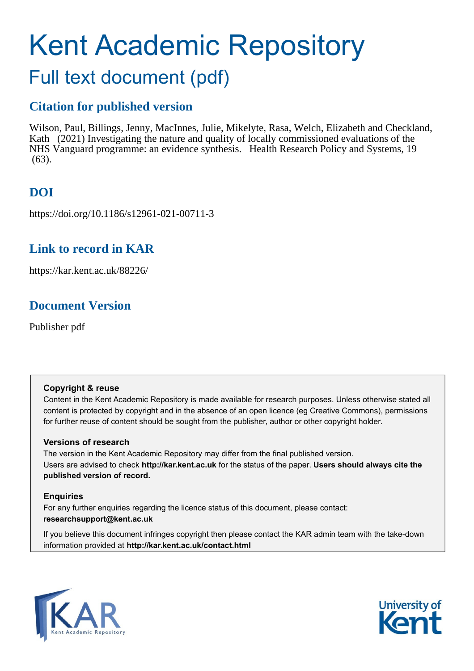# Kent Academic Repository

# Full text document (pdf)

# **Citation for published version**

Wilson, Paul, Billings, Jenny, MacInnes, Julie, Mikelyte, Rasa, Welch, Elizabeth and Checkland, Kath (2021) Investigating the nature and quality of locally commissioned evaluations of the NHS Vanguard programme: an evidence synthesis. Health Research Policy and Systems, 19  $(63)$ .

# **DOI**

https://doi.org/10.1186/s12961-021-00711-3

# **Link to record in KAR**

https://kar.kent.ac.uk/88226/

# **Document Version**

Publisher pdf

## **Copyright & reuse**

Content in the Kent Academic Repository is made available for research purposes. Unless otherwise stated all content is protected by copyright and in the absence of an open licence (eg Creative Commons), permissions for further reuse of content should be sought from the publisher, author or other copyright holder.

## **Versions of research**

The version in the Kent Academic Repository may differ from the final published version. Users are advised to check **http://kar.kent.ac.uk** for the status of the paper. **Users should always cite the published version of record.**

## **Enquiries**

For any further enquiries regarding the licence status of this document, please contact: **researchsupport@kent.ac.uk**

If you believe this document infringes copyright then please contact the KAR admin team with the take-down information provided at **http://kar.kent.ac.uk/contact.html**



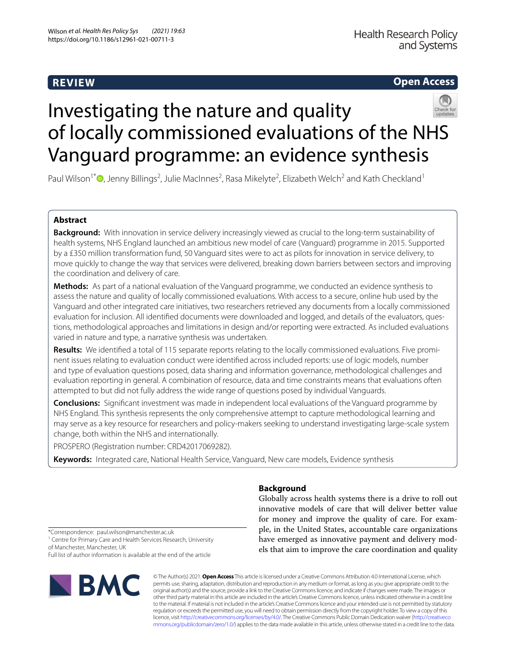## **REVIEW**

## **Open Access**



# Investigating the nature and quality of locally commissioned evaluations of the NHS Vanguard programme: an evidence synthesis

Paul Wilson<sup>1\*</sup><sup>®</sup>[,](http://orcid.org/0000-0002-2657-5780) Jenny Billings<sup>2</sup>, Julie MacInnes<sup>2</sup>, Rasa Mikelyte<sup>2</sup>, Elizabeth Welch<sup>2</sup> and Kath Checkland<sup>1</sup>

### **Abstract**

**Background:** With innovation in service delivery increasingly viewed as crucial to the long-term sustainability of health systems, NHS England launched an ambitious new model of care (Vanguard) programme in 2015. Supported by a £350 million transformation fund, 50 Vanguard sites were to act as pilots for innovation in service delivery, to move quickly to change the way that services were delivered, breaking down barriers between sectors and improving the coordination and delivery of care.

**Methods:** As part of a national evaluation of the Vanguard programme, we conducted an evidence synthesis to assess the nature and quality of locally commissioned evaluations. With access to a secure, online hub used by the Vanguard and other integrated care initiatives, two researchers retrieved any documents from a locally commissioned evaluation for inclusion. All identifed documents were downloaded and logged, and details of the evaluators, questions, methodological approaches and limitations in design and/or reporting were extracted. As included evaluations varied in nature and type, a narrative synthesis was undertaken.

**Results:** We identifed a total of 115 separate reports relating to the locally commissioned evaluations. Five prominent issues relating to evaluation conduct were identifed across included reports: use of logic models, number and type of evaluation questions posed, data sharing and information governance, methodological challenges and evaluation reporting in general. A combination of resource, data and time constraints means that evaluations often attempted to but did not fully address the wide range of questions posed by individual Vanguards.

**Conclusions:** Signifcant investment was made in independent local evaluations of the Vanguard programme by NHS England. This synthesis represents the only comprehensive attempt to capture methodological learning and may serve as a key resource for researchers and policy-makers seeking to understand investigating large-scale system change, both within the NHS and internationally.

PROSPERO (Registration number: CRD42017069282).

**Keywords:** Integrated care, National Health Service, Vanguard, New care models, Evidence synthesis

## **Background**

Globally across health systems there is a drive to roll out innovative models of care that will deliver better value for money and improve the quality of care. For example, in the United States, accountable care organizations have emerged as innovative payment and delivery models that aim to improve the care coordination and quality

\*Correspondence: paul.wilson@manchester.ac.uk

<sup>1</sup> Centre for Primary Care and Health Services Research, University of Manchester, Manchester, UK Full list of author information is available at the end of the article



© The Author(s) 2021. **Open Access** This article is licensed under a Creative Commons Attribution 4.0 International License, which permits use, sharing, adaptation, distribution and reproduction in any medium or format, as long as you give appropriate credit to the original author(s) and the source, provide a link to the Creative Commons licence, and indicate if changes were made. The images or other third party material in this article are included in the article's Creative Commons licence, unless indicated otherwise in a credit line to the material. If material is not included in the article's Creative Commons licence and your intended use is not permitted by statutory regulation or exceeds the permitted use, you will need to obtain permission directly from the copyright holder. To view a copy of this licence, visit [http://creativecommons.org/licenses/by/4.0/.](http://creativecommons.org/licenses/by/4.0/) The Creative Commons Public Domain Dedication waiver ([http://creativeco](http://creativecommons.org/publicdomain/zero/1.0/) [mmons.org/publicdomain/zero/1.0/](http://creativecommons.org/publicdomain/zero/1.0/)) applies to the data made available in this article, unless otherwise stated in a credit line to the data.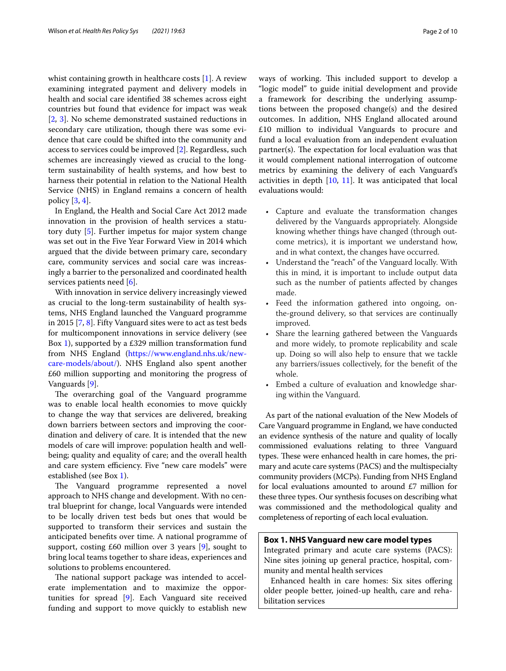whist containing growth in healthcare costs [1]. A review examining integrated payment and delivery models in health and social care identifed 38 schemes across eight countries but found that evidence for impact was weak [2, 3]. No scheme demonstrated sustained reductions in secondary care utilization, though there was some evidence that care could be shifted into the community and access to services could be improved [2]. Regardless, such schemes are increasingly viewed as crucial to the longterm sustainability of health systems, and how best to harness their potential in relation to the National Health Service (NHS) in England remains a concern of health policy [3, 4].

In England, the Health and Social Care Act 2012 made innovation in the provision of health services a statutory duty [5]. Further impetus for major system change was set out in the Five Year Forward View in 2014 which argued that the divide between primary care, secondary care, community services and social care was increasingly a barrier to the personalized and coordinated health services patients need [6].

With innovation in service delivery increasingly viewed as crucial to the long-term sustainability of health systems, NHS England launched the Vanguard programme in 2015 [7, 8]. Fifty Vanguard sites were to act as test beds for multicomponent innovations in service delivery (see Box 1), supported by a £329 million transformation fund from NHS England ([https://www.england.nhs.uk/new](https://www.england.nhs.uk/new-care-models/about/)[care-models/about/\)](https://www.england.nhs.uk/new-care-models/about/). NHS England also spent another £60 million supporting and monitoring the progress of Vanguards [9].

The overarching goal of the Vanguard programme was to enable local health economies to move quickly to change the way that services are delivered, breaking down barriers between sectors and improving the coordination and delivery of care. It is intended that the new models of care will improve: population health and wellbeing; quality and equality of care; and the overall health and care system efficiency. Five "new care models" were established (see Box 1).

The Vanguard programme represented a novel approach to NHS change and development. With no central blueprint for change, local Vanguards were intended to be locally driven test beds but ones that would be supported to transform their services and sustain the anticipated benefts over time. A national programme of support, costing  $£60$  million over 3 years  $[9]$ , sought to bring local teams together to share ideas, experiences and solutions to problems encountered.

The national support package was intended to accelerate implementation and to maximize the opportunities for spread [9]. Each Vanguard site received funding and support to move quickly to establish new ways of working. This included support to develop a "logic model" to guide initial development and provide a framework for describing the underlying assumptions between the proposed change(s) and the desired outcomes. In addition, NHS England allocated around £10 million to individual Vanguards to procure and fund a local evaluation from an independent evaluation  $partner(s)$ . The expectation for local evaluation was that it would complement national interrogation of outcome metrics by examining the delivery of each Vanguard's activities in depth [10, 11]. It was anticipated that local evaluations would:

- Capture and evaluate the transformation changes delivered by the Vanguards appropriately. Alongside knowing whether things have changed (through outcome metrics), it is important we understand how, and in what context, the changes have occurred.
- Understand the "reach" of the Vanguard locally. With this in mind, it is important to include output data such as the number of patients afected by changes made.
- Feed the information gathered into ongoing, onthe-ground delivery, so that services are continually improved.
- Share the learning gathered between the Vanguards and more widely, to promote replicability and scale up. Doing so will also help to ensure that we tackle any barriers/issues collectively, for the beneft of the whole.
- Embed a culture of evaluation and knowledge sharing within the Vanguard.

As part of the national evaluation of the New Models of Care Vanguard programme in England, we have conducted an evidence synthesis of the nature and quality of locally commissioned evaluations relating to three Vanguard types. These were enhanced health in care homes, the primary and acute care systems (PACS) and the multispecialty community providers (MCPs). Funding from NHS England for local evaluations amounted to around £7 million for these three types. Our synthesis focuses on describing what was commissioned and the methodological quality and completeness of reporting of each local evaluation.

#### **Box 1. NHS Vanguard new care model types**

Integrated primary and acute care systems (PACS): Nine sites joining up general practice, hospital, community and mental health services

Enhanced health in care homes: Six sites offering older people better, joined-up health, care and rehabilitation services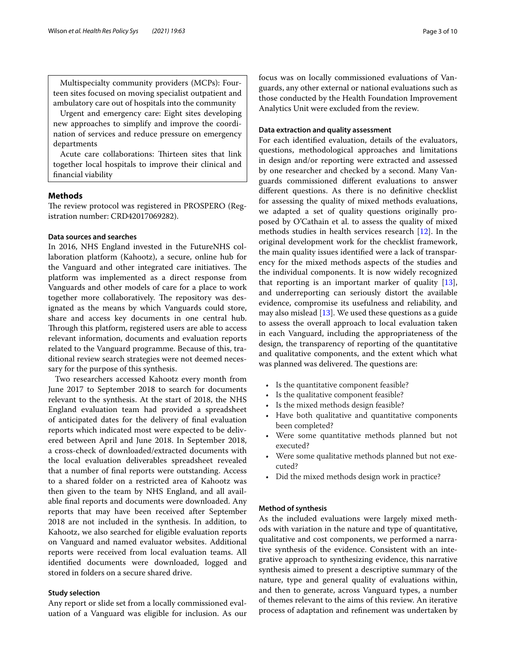Multispecialty community providers (MCPs): Fourteen sites focused on moving specialist outpatient and ambulatory care out of hospitals into the community

Urgent and emergency care: Eight sites developing new approaches to simplify and improve the coordination of services and reduce pressure on emergency departments

Acute care collaborations: Thirteen sites that link together local hospitals to improve their clinical and fnancial viability

#### **Methods**

The review protocol was registered in PROSPERO (Registration number: CRD42017069282).

#### **Data sources and searches**

In 2016, NHS England invested in the FutureNHS collaboration platform (Kahootz), a secure, online hub for the Vanguard and other integrated care initiatives. The platform was implemented as a direct response from Vanguards and other models of care for a place to work together more collaboratively. The repository was designated as the means by which Vanguards could store, share and access key documents in one central hub. Through this platform, registered users are able to access relevant information, documents and evaluation reports related to the Vanguard programme. Because of this, traditional review search strategies were not deemed necessary for the purpose of this synthesis.

Two researchers accessed Kahootz every month from June 2017 to September 2018 to search for documents relevant to the synthesis. At the start of 2018, the NHS England evaluation team had provided a spreadsheet of anticipated dates for the delivery of fnal evaluation reports which indicated most were expected to be delivered between April and June 2018. In September 2018, a cross-check of downloaded/extracted documents with the local evaluation deliverables spreadsheet revealed that a number of fnal reports were outstanding. Access to a shared folder on a restricted area of Kahootz was then given to the team by NHS England, and all available fnal reports and documents were downloaded. Any reports that may have been received after September 2018 are not included in the synthesis. In addition, to Kahootz, we also searched for eligible evaluation reports on Vanguard and named evaluator websites. Additional reports were received from local evaluation teams. All identifed documents were downloaded, logged and stored in folders on a secure shared drive.

#### **Study selection**

Any report or slide set from a locally commissioned evaluation of a Vanguard was eligible for inclusion. As our focus was on locally commissioned evaluations of Vanguards, any other external or national evaluations such as those conducted by the Health Foundation Improvement Analytics Unit were excluded from the review.

#### **Data extraction and quality assessment**

For each identifed evaluation, details of the evaluators, questions, methodological approaches and limitations in design and/or reporting were extracted and assessed by one researcher and checked by a second. Many Vanguards commissioned diferent evaluations to answer diferent questions. As there is no defnitive checklist for assessing the quality of mixed methods evaluations, we adapted a set of quality questions originally proposed by O'Cathain et al. to assess the quality of mixed methods studies in health services research [12]. In the original development work for the checklist framework, the main quality issues identifed were a lack of transparency for the mixed methods aspects of the studies and the individual components. It is now widely recognized that reporting is an important marker of quality [13], and underreporting can seriously distort the available evidence, compromise its usefulness and reliability, and may also mislead [13]. We used these questions as a guide to assess the overall approach to local evaluation taken in each Vanguard, including the appropriateness of the design, the transparency of reporting of the quantitative and qualitative components, and the extent which what was planned was delivered. The questions are:

- Is the quantitative component feasible?
- Is the qualitative component feasible?
- Is the mixed methods design feasible?
- Have both qualitative and quantitative components been completed?
- Were some quantitative methods planned but not executed?
- Were some qualitative methods planned but not executed?
- Did the mixed methods design work in practice?

#### **Method of synthesis**

As the included evaluations were largely mixed methods with variation in the nature and type of quantitative, qualitative and cost components, we performed a narrative synthesis of the evidence. Consistent with an integrative approach to synthesizing evidence, this narrative synthesis aimed to present a descriptive summary of the nature, type and general quality of evaluations within, and then to generate, across Vanguard types, a number of themes relevant to the aims of this review. An iterative process of adaptation and refnement was undertaken by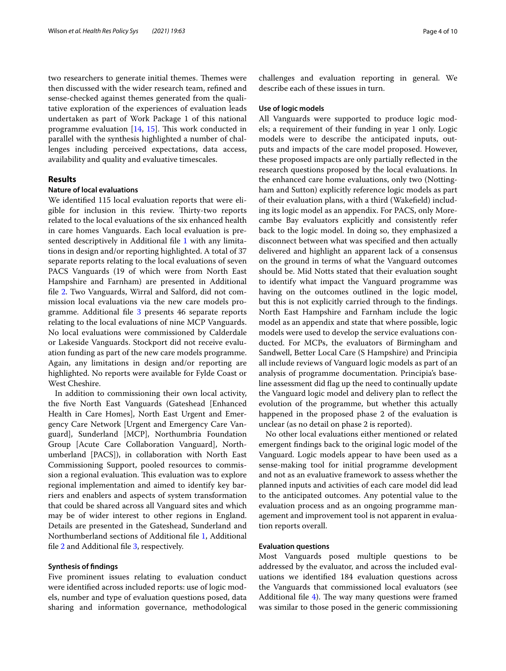two researchers to generate initial themes. Themes were then discussed with the wider research team, refned and sense-checked against themes generated from the qualitative exploration of the experiences of evaluation leads undertaken as part of Work Package 1 of this national programme evaluation  $[14, 15]$ . This work conducted in parallel with the synthesis highlighted a number of challenges including perceived expectations, data access, availability and quality and evaluative timescales.

#### **Results**

#### **Nature of local evaluations**

We identifed 115 local evaluation reports that were eligible for inclusion in this review. Thirty-two reports related to the local evaluations of the six enhanced health in care homes Vanguards. Each local evaluation is presented descriptively in Additional file 1 with any limitations in design and/or reporting highlighted. A total of 37 separate reports relating to the local evaluations of seven PACS Vanguards (19 of which were from North East Hampshire and Farnham) are presented in Additional fle 2. Two Vanguards, Wirral and Salford, did not commission local evaluations via the new care models programme. Additional fle 3 presents 46 separate reports relating to the local evaluations of nine MCP Vanguards. No local evaluations were commissioned by Calderdale or Lakeside Vanguards. Stockport did not receive evaluation funding as part of the new care models programme. Again, any limitations in design and/or reporting are highlighted. No reports were available for Fylde Coast or West Cheshire.

In addition to commissioning their own local activity, the fve North East Vanguards (Gateshead [Enhanced Health in Care Homes], North East Urgent and Emergency Care Network [Urgent and Emergency Care Vanguard], Sunderland [MCP], Northumbria Foundation Group [Acute Care Collaboration Vanguard], Northumberland [PACS]), in collaboration with North East Commissioning Support, pooled resources to commission a regional evaluation. This evaluation was to explore regional implementation and aimed to identify key barriers and enablers and aspects of system transformation that could be shared across all Vanguard sites and which may be of wider interest to other regions in England. Details are presented in the Gateshead, Sunderland and Northumberland sections of Additional fle 1, Additional fle 2 and Additional fle 3, respectively.

#### **Synthesis of fndings**

Five prominent issues relating to evaluation conduct were identifed across included reports: use of logic models, number and type of evaluation questions posed, data sharing and information governance, methodological challenges and evaluation reporting in general. We describe each of these issues in turn.

#### **Use of logic models**

All Vanguards were supported to produce logic models; a requirement of their funding in year 1 only. Logic models were to describe the anticipated inputs, outputs and impacts of the care model proposed. However, these proposed impacts are only partially refected in the research questions proposed by the local evaluations. In the enhanced care home evaluations, only two (Nottingham and Sutton) explicitly reference logic models as part of their evaluation plans, with a third (Wakefeld) including its logic model as an appendix. For PACS, only Morecambe Bay evaluators explicitly and consistently refer back to the logic model. In doing so, they emphasized a disconnect between what was specifed and then actually delivered and highlight an apparent lack of a consensus on the ground in terms of what the Vanguard outcomes should be. Mid Notts stated that their evaluation sought to identify what impact the Vanguard programme was having on the outcomes outlined in the logic model, but this is not explicitly carried through to the fndings. North East Hampshire and Farnham include the logic model as an appendix and state that where possible, logic models were used to develop the service evaluations conducted. For MCPs, the evaluators of Birmingham and Sandwell, Better Local Care (S Hampshire) and Principia all include reviews of Vanguard logic models as part of an analysis of programme documentation. Principia's baseline assessment did fag up the need to continually update the Vanguard logic model and delivery plan to refect the evolution of the programme, but whether this actually happened in the proposed phase 2 of the evaluation is unclear (as no detail on phase 2 is reported).

No other local evaluations either mentioned or related emergent fndings back to the original logic model of the Vanguard. Logic models appear to have been used as a sense-making tool for initial programme development and not as an evaluative framework to assess whether the planned inputs and activities of each care model did lead to the anticipated outcomes. Any potential value to the evaluation process and as an ongoing programme management and improvement tool is not apparent in evaluation reports overall.

#### **Evaluation questions**

Most Vanguards posed multiple questions to be addressed by the evaluator, and across the included evaluations we identifed 184 evaluation questions across the Vanguards that commissioned local evaluators (see Additional file  $4$ ). The way many questions were framed was similar to those posed in the generic commissioning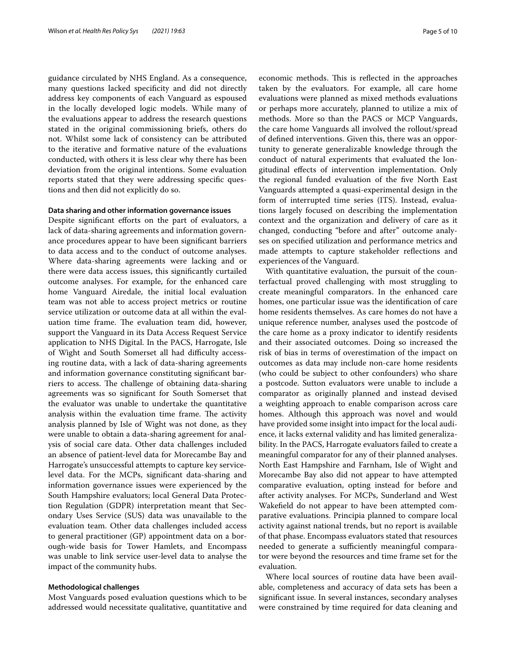guidance circulated by NHS England. As a consequence, many questions lacked specifcity and did not directly address key components of each Vanguard as espoused in the locally developed logic models. While many of the evaluations appear to address the research questions stated in the original commissioning briefs, others do not. Whilst some lack of consistency can be attributed to the iterative and formative nature of the evaluations conducted, with others it is less clear why there has been deviation from the original intentions. Some evaluation reports stated that they were addressing specifc questions and then did not explicitly do so.

#### **Data sharing and other information governance issues**

Despite significant efforts on the part of evaluators, a lack of data-sharing agreements and information governance procedures appear to have been signifcant barriers to data access and to the conduct of outcome analyses. Where data-sharing agreements were lacking and or there were data access issues, this signifcantly curtailed outcome analyses. For example, for the enhanced care home Vanguard Airedale, the initial local evaluation team was not able to access project metrics or routine service utilization or outcome data at all within the evaluation time frame. The evaluation team did, however, support the Vanguard in its Data Access Request Service application to NHS Digital. In the PACS, Harrogate, Isle of Wight and South Somerset all had difficulty accessing routine data, with a lack of data-sharing agreements and information governance constituting signifcant barriers to access. The challenge of obtaining data-sharing agreements was so signifcant for South Somerset that the evaluator was unable to undertake the quantitative analysis within the evaluation time frame. The activity analysis planned by Isle of Wight was not done, as they were unable to obtain a data-sharing agreement for analysis of social care data. Other data challenges included an absence of patient-level data for Morecambe Bay and Harrogate's unsuccessful attempts to capture key servicelevel data. For the MCPs, signifcant data-sharing and information governance issues were experienced by the South Hampshire evaluators; local General Data Protection Regulation (GDPR) interpretation meant that Secondary Uses Service (SUS) data was unavailable to the evaluation team. Other data challenges included access to general practitioner (GP) appointment data on a borough-wide basis for Tower Hamlets, and Encompass was unable to link service user-level data to analyse the impact of the community hubs.

#### **Methodological challenges**

Most Vanguards posed evaluation questions which to be addressed would necessitate qualitative, quantitative and economic methods. This is reflected in the approaches taken by the evaluators. For example, all care home evaluations were planned as mixed methods evaluations or perhaps more accurately, planned to utilize a mix of methods. More so than the PACS or MCP Vanguards, the care home Vanguards all involved the rollout/spread of defned interventions. Given this, there was an opportunity to generate generalizable knowledge through the conduct of natural experiments that evaluated the longitudinal efects of intervention implementation. Only the regional funded evaluation of the fve North East Vanguards attempted a quasi-experimental design in the form of interrupted time series (ITS). Instead, evaluations largely focused on describing the implementation context and the organization and delivery of care as it changed, conducting "before and after" outcome analyses on specifed utilization and performance metrics and made attempts to capture stakeholder refections and experiences of the Vanguard.

With quantitative evaluation, the pursuit of the counterfactual proved challenging with most struggling to create meaningful comparators. In the enhanced care homes, one particular issue was the identifcation of care home residents themselves. As care homes do not have a unique reference number, analyses used the postcode of the care home as a proxy indicator to identify residents and their associated outcomes. Doing so increased the risk of bias in terms of overestimation of the impact on outcomes as data may include non-care home residents (who could be subject to other confounders) who share a postcode. Sutton evaluators were unable to include a comparator as originally planned and instead devised a weighting approach to enable comparison across care homes. Although this approach was novel and would have provided some insight into impact for the local audience, it lacks external validity and has limited generalizability. In the PACS, Harrogate evaluators failed to create a meaningful comparator for any of their planned analyses. North East Hampshire and Farnham, Isle of Wight and Morecambe Bay also did not appear to have attempted comparative evaluation, opting instead for before and after activity analyses. For MCPs, Sunderland and West Wakefeld do not appear to have been attempted comparative evaluations. Principia planned to compare local activity against national trends, but no report is available of that phase. Encompass evaluators stated that resources needed to generate a sufficiently meaningful comparator were beyond the resources and time frame set for the evaluation.

Where local sources of routine data have been available, completeness and accuracy of data sets has been a signifcant issue. In several instances, secondary analyses were constrained by time required for data cleaning and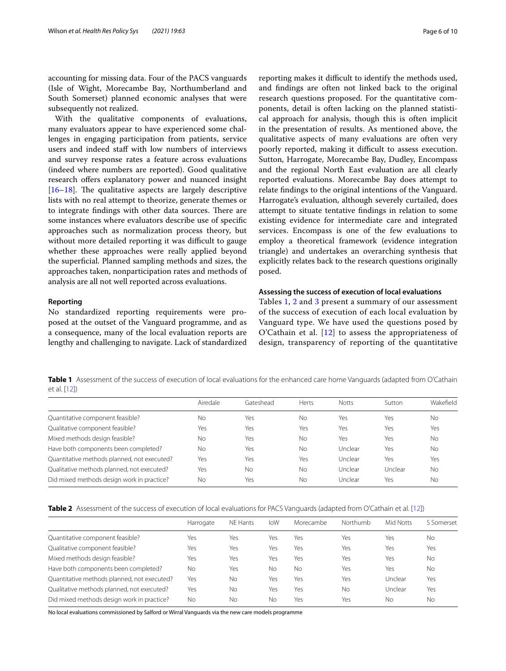accounting for missing data. Four of the PACS vanguards (Isle of Wight, Morecambe Bay, Northumberland and South Somerset) planned economic analyses that were subsequently not realized.

With the qualitative components of evaluations, many evaluators appear to have experienced some challenges in engaging participation from patients, service users and indeed staf with low numbers of interviews and survey response rates a feature across evaluations (indeed where numbers are reported). Good qualitative research offers explanatory power and nuanced insight  $[16–18]$ . The qualitative aspects are largely descriptive lists with no real attempt to theorize, generate themes or to integrate findings with other data sources. There are some instances where evaluators describe use of specifc approaches such as normalization process theory, but without more detailed reporting it was difficult to gauge whether these approaches were really applied beyond the superfcial. Planned sampling methods and sizes, the approaches taken, nonparticipation rates and methods of analysis are all not well reported across evaluations.

#### **Reporting**

No standardized reporting requirements were proposed at the outset of the Vanguard programme, and as a consequence, many of the local evaluation reports are lengthy and challenging to navigate. Lack of standardized reporting makes it difficult to identify the methods used, and fndings are often not linked back to the original research questions proposed. For the quantitative components, detail is often lacking on the planned statistical approach for analysis, though this is often implicit in the presentation of results. As mentioned above, the qualitative aspects of many evaluations are often very poorly reported, making it difficult to assess execution. Sutton, Harrogate, Morecambe Bay, Dudley, Encompass and the regional North East evaluation are all clearly reported evaluations. Morecambe Bay does attempt to relate fndings to the original intentions of the Vanguard. Harrogate's evaluation, although severely curtailed, does attempt to situate tentative fndings in relation to some existing evidence for intermediate care and integrated services. Encompass is one of the few evaluations to employ a theoretical framework (evidence integration triangle) and undertakes an overarching synthesis that explicitly relates back to the research questions originally posed.

#### **Assessing the success of execution of local evaluations**

Tables 1, 2 and 3 present a summary of our assessment of the success of execution of each local evaluation by Vanguard type. We have used the questions posed by O'Cathain et al.  $[12]$  to assess the appropriateness of design, transparency of reporting of the quantitative

**Table 1** Assessment of the success of execution of local evaluations for the enhanced care home Vanguards (adapted from O'Cathain et al. [12])

|                                             | Airedale | Gateshead | <b>Herts</b> | <b>Notts</b> | Sutton  | Wakefield |
|---------------------------------------------|----------|-----------|--------------|--------------|---------|-----------|
| Quantitative component feasible?            | No       | Yes       | No           | Yes          | Yes     | No        |
| Qualitative component feasible?             | Yes      | Yes       | Yes          | Yes          | Yes     | Yes       |
| Mixed methods design feasible?              | No       | Yes       | No           | Yes          | Yes     | No        |
| Have both components been completed?        | No       | Yes       | No           | Unclear      | Yes     | No        |
| Quantitative methods planned, not executed? | Yes      | Yes       | Yes          | Unclear      | Yes     | Yes       |
| Qualitative methods planned, not executed?  | Yes      | <b>No</b> | No           | Unclear      | Unclear | No        |
| Did mixed methods design work in practice?  | No       | Yes       | No           | Unclear      | Yes     | No        |

| Table 2 Assessment of the success of execution of local evaluations for PACS Vanguards (adapted from O'Cathain et al. [12]) |
|-----------------------------------------------------------------------------------------------------------------------------|
|-----------------------------------------------------------------------------------------------------------------------------|

|                                             | Harrogate | NE Hants | loW | Morecambe | Northumb | Mid Notts | S Somerset |
|---------------------------------------------|-----------|----------|-----|-----------|----------|-----------|------------|
| Quantitative component feasible?            | Yes       | Yes      | Yes | Yes       | Yes      | Yes       | <b>No</b>  |
| Qualitative component feasible?             | Yes       | Yes      | Yes | Yes       | Yes      | Yes       | Yes        |
| Mixed methods design feasible?              | Yes       | Yes      | Yes | Yes       | Yes      | Yes       | <b>No</b>  |
| Have both components been completed?        | <b>No</b> | Yes      | Νo  | <b>No</b> | Yes      | Yes       | <b>No</b>  |
| Quantitative methods planned, not executed? | Yes       | No       | Yes | Yes       | Yes      | Unclear   | Yes        |
| Qualitative methods planned, not executed?  | Yes       | No       | Yes | Yes       | No       | Unclear   | Yes        |
| Did mixed methods design work in practice?  | No        | No       | No  | Yes       | Yes      | Nο        | No         |
|                                             |           |          |     |           |          |           |            |

No local evaluations commissioned by Salford or Wirral Vanguards via the new care models programme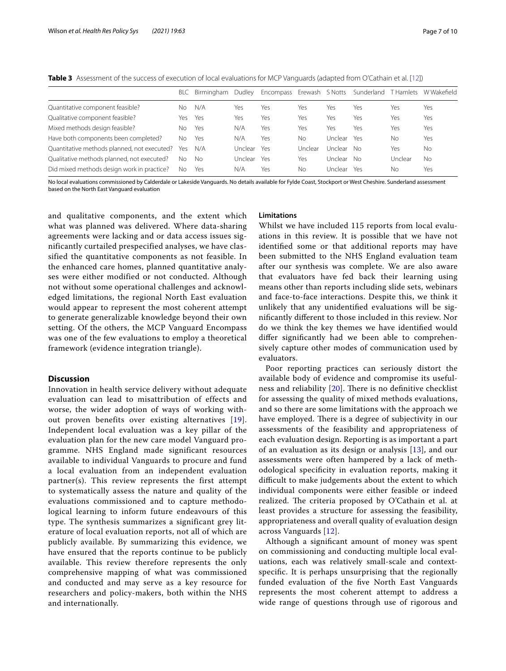**Table 3** Assessment of the success of execution of local evaluations for MCP Vanguards (adapted from O'Cathain et al. [12])

|                                             | BLC | Birmingham | Dudley  | Encompass Erewash S Notts |         |         | Sunderland | T Hamlets | W Wakefield |
|---------------------------------------------|-----|------------|---------|---------------------------|---------|---------|------------|-----------|-------------|
| Quantitative component feasible?            | Nο  | N/A        | Yes     | Yes                       | Yes     | Yes     | Yes        | Yes       | Yes         |
| Qualitative component feasible?             | Yes | Yes        | Yes     | Yes                       | Yes     | Yes     | Yes        | Yes       | Yes         |
| Mixed methods design feasible?              | No. | Yes        | N/A     | Yes                       | Yes     | Yes     | Yes        | Yes       | Yes         |
| Have both components been completed?        | No. | Yes        | N/A     | Yes                       | Nο      | Unclear | Yes        | Nο        | Yes         |
| Quantitative methods planned, not executed? | Yes | N/A        | Unclear | Yes                       | Unclear | Unclear | No.        | Yes       | No          |
| Qualitative methods planned, not executed?  | No  | No         | Unclear | Yes                       | Yes     | Unclear | No.        | Unclear   | Νo          |
| Did mixed methods design work in practice?  | No. | Yes        | N/A     | Yes                       | Nο      | Unclear | Yes        | Nο        | Yes         |

No local evaluations commissioned by Calderdale or Lakeside Vanguards. No details available for Fylde Coast, Stockport or West Cheshire. Sunderland assessment based on the North East Vanguard evaluation

and qualitative components, and the extent which what was planned was delivered. Where data-sharing agreements were lacking and or data access issues significantly curtailed prespecified analyses, we have classified the quantitative components as not feasible. In the enhanced care homes, planned quantitative analyses were either modified or not conducted. Although not without some operational challenges and acknowledged limitations, the regional North East evaluation would appear to represent the most coherent attempt to generate generalizable knowledge beyond their own setting. Of the others, the MCP Vanguard Encompass was one of the few evaluations to employ a theoretical framework (evidence integration triangle).

#### **Discussion**

Innovation in health service delivery without adequate evaluation can lead to misattribution of effects and worse, the wider adoption of ways of working without proven benefits over existing alternatives [19]. Independent local evaluation was a key pillar of the evaluation plan for the new care model Vanguard programme. NHS England made significant resources available to individual Vanguards to procure and fund a local evaluation from an independent evaluation partner(s). This review represents the first attempt to systematically assess the nature and quality of the evaluations commissioned and to capture methodological learning to inform future endeavours of this type. The synthesis summarizes a significant grey literature of local evaluation reports, not all of which are publicly available. By summarizing this evidence, we have ensured that the reports continue to be publicly available. This review therefore represents the only comprehensive mapping of what was commissioned and conducted and may serve as a key resource for researchers and policy-makers, both within the NHS and internationally.

#### **Limitations**

Whilst we have included 115 reports from local evaluations in this review. It is possible that we have not identifed some or that additional reports may have been submitted to the NHS England evaluation team after our synthesis was complete. We are also aware that evaluators have fed back their learning using means other than reports including slide sets, webinars and face-to-face interactions. Despite this, we think it unlikely that any unidentifed evaluations will be signifcantly diferent to those included in this review. Nor do we think the key themes we have identifed would difer signifcantly had we been able to comprehensively capture other modes of communication used by evaluators.

Poor reporting practices can seriously distort the available body of evidence and compromise its usefulness and reliability  $[20]$ . There is no definitive checklist for assessing the quality of mixed methods evaluations, and so there are some limitations with the approach we have employed. There is a degree of subjectivity in our assessments of the feasibility and appropriateness of each evaluation design. Reporting is as important a part of an evaluation as its design or analysis [13], and our assessments were often hampered by a lack of methodological specifcity in evaluation reports, making it difficult to make judgements about the extent to which individual components were either feasible or indeed realized. The criteria proposed by O'Cathain et al. at least provides a structure for assessing the feasibility, appropriateness and overall quality of evaluation design across Vanguards [12].

Although a signifcant amount of money was spent on commissioning and conducting multiple local evaluations, each was relatively small-scale and contextspecifc. It is perhaps unsurprising that the regionally funded evaluation of the fve North East Vanguards represents the most coherent attempt to address a wide range of questions through use of rigorous and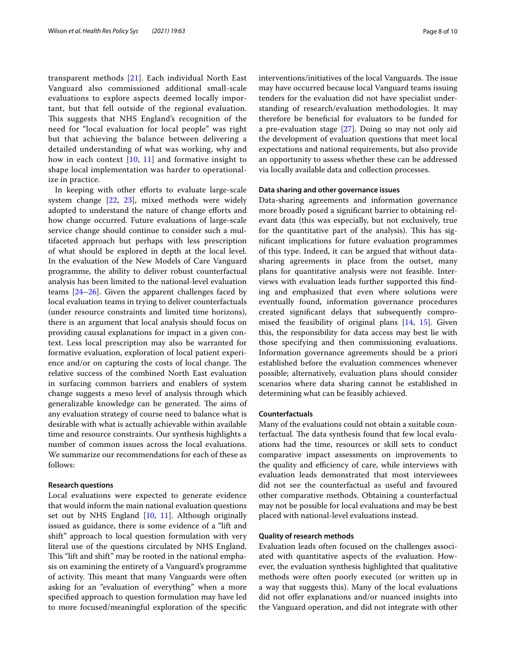transparent methods [21]. Each individual North East Vanguard also commissioned additional small-scale evaluations to explore aspects deemed locally important, but that fell outside of the regional evaluation. This suggests that NHS England's recognition of the need for "local evaluation for local people" was right but that achieving the balance between delivering a detailed understanding of what was working, why and how in each context [10, 11] and formative insight to shape local implementation was harder to operationalize in practice.

In keeping with other efforts to evaluate large-scale system change [22, 23], mixed methods were widely adopted to understand the nature of change eforts and how change occurred. Future evaluations of large-scale service change should continue to consider such a multifaceted approach but perhaps with less prescription of what should be explored in depth at the local level. In the evaluation of the New Models of Care Vanguard programme, the ability to deliver robust counterfactual analysis has been limited to the national-level evaluation teams [24–26]. Given the apparent challenges faced by local evaluation teams in trying to deliver counterfactuals (under resource constraints and limited time horizons), there is an argument that local analysis should focus on providing causal explanations for impact in a given context. Less local prescription may also be warranted for formative evaluation, exploration of local patient experience and/or on capturing the costs of local change. The relative success of the combined North East evaluation in surfacing common barriers and enablers of system change suggests a meso level of analysis through which generalizable knowledge can be generated. The aims of any evaluation strategy of course need to balance what is desirable with what is actually achievable within available time and resource constraints. Our synthesis highlights a number of common issues across the local evaluations. We summarize our recommendations for each of these as follows:

#### **Research questions**

Local evaluations were expected to generate evidence that would inform the main national evaluation questions set out by NHS England [10, 11]. Although originally issued as guidance, there is some evidence of a "lift and shift" approach to local question formulation with very literal use of the questions circulated by NHS England. This "lift and shift" may be rooted in the national emphasis on examining the entirety of a Vanguard's programme of activity. This meant that many Vanguards were often asking for an "evaluation of everything" when a more specifed approach to question formulation may have led to more focused/meaningful exploration of the specifc interventions/initiatives of the local Vanguards. The issue may have occurred because local Vanguard teams issuing tenders for the evaluation did not have specialist understanding of research/evaluation methodologies. It may therefore be benefcial for evaluators to be funded for a pre-evaluation stage [27]. Doing so may not only aid the development of evaluation questions that meet local expectations and national requirements, but also provide an opportunity to assess whether these can be addressed via locally available data and collection processes.

#### **Data sharing and other governance issues**

Data-sharing agreements and information governance more broadly posed a signifcant barrier to obtaining relevant data (this was especially, but not exclusively, true for the quantitative part of the analysis). This has signifcant implications for future evaluation programmes of this type. Indeed, it can be argued that without datasharing agreements in place from the outset, many plans for quantitative analysis were not feasible. Interviews with evaluation leads further supported this fnding and emphasized that even where solutions were eventually found, information governance procedures created signifcant delays that subsequently compromised the feasibility of original plans [14, 15]. Given this, the responsibility for data access may best lie with those specifying and then commissioning evaluations. Information governance agreements should be a priori established before the evaluation commences whenever possible; alternatively, evaluation plans should consider scenarios where data sharing cannot be established in determining what can be feasibly achieved.

#### **Counterfactuals**

Many of the evaluations could not obtain a suitable counterfactual. The data synthesis found that few local evaluations had the time, resources or skill sets to conduct comparative impact assessments on improvements to the quality and efficiency of care, while interviews with evaluation leads demonstrated that most interviewees did not see the counterfactual as useful and favoured other comparative methods. Obtaining a counterfactual may not be possible for local evaluations and may be best placed with national-level evaluations instead.

#### **Quality of research methods**

Evaluation leads often focused on the challenges associated with quantitative aspects of the evaluation. However, the evaluation synthesis highlighted that qualitative methods were often poorly executed (or written up in a way that suggests this). Many of the local evaluations did not offer explanations and/or nuanced insights into the Vanguard operation, and did not integrate with other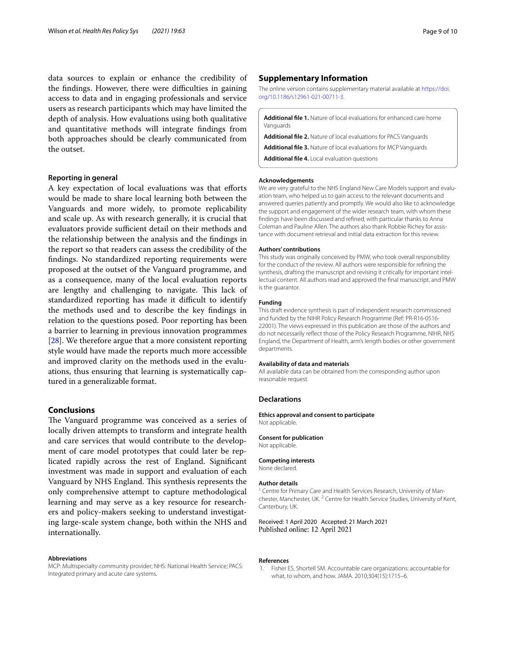data sources to explain or enhance the credibility of the findings. However, there were difficulties in gaining access to data and in engaging professionals and service users as research participants which may have limited the depth of analysis. How evaluations using both qualitative and quantitative methods will integrate fndings from both approaches should be clearly communicated from the outset.

#### **Reporting in general**

A key expectation of local evaluations was that eforts would be made to share local learning both between the Vanguards and more widely, to promote replicability and scale up. As with research generally, it is crucial that evaluators provide sufficient detail on their methods and the relationship between the analysis and the fndings in the report so that readers can assess the credibility of the fndings. No standardized reporting requirements were proposed at the outset of the Vanguard programme, and as a consequence, many of the local evaluation reports are lengthy and challenging to navigate. This lack of standardized reporting has made it difficult to identify the methods used and to describe the key fndings in relation to the questions posed. Poor reporting has been a barrier to learning in previous innovation programmes [28]. We therefore argue that a more consistent reporting style would have made the reports much more accessible and improved clarity on the methods used in the evaluations, thus ensuring that learning is systematically captured in a generalizable format.

#### **Conclusions**

The Vanguard programme was conceived as a series of locally driven attempts to transform and integrate health and care services that would contribute to the development of care model prototypes that could later be replicated rapidly across the rest of England. Signifcant investment was made in support and evaluation of each Vanguard by NHS England. This synthesis represents the only comprehensive attempt to capture methodological learning and may serve as a key resource for researchers and policy-makers seeking to understand investigating large-scale system change, both within the NHS and internationally.

#### **Abbreviations**

MCP: Multispecialty community provider; NHS: National Health Service; PACS: Integrated primary and acute care systems.

#### **Supplementary Information**

The online version contains supplementary material available at [https://doi.](https://doi.org/10.1186/s12961-021-00711-3) [org/10.1186/s12961-021-00711-3](https://doi.org/10.1186/s12961-021-00711-3).

**Additional fle 1.** Nature of local evaluations for enhanced care home Vanguards

**Additional fle 2.** Nature of local evaluations for PACS Vanguards

**Additional fle 3.** Nature of local evaluations for MCP Vanguards

**Additional fle 4.** Local evaluation questions

#### **Acknowledgements**

We are very grateful to the NHS England New Care Models support and evaluation team, who helped us to gain access to the relevant documents and answered queries patiently and promptly. We would also like to acknowledge the support and engagement of the wider research team, with whom these fndings have been discussed and refned, with particular thanks to Anna Coleman and Pauline Allen. The authors also thank Robbie Richey for assistance with document retrieval and initial data extraction for this review.

#### **Authors' contributions**

This study was originally conceived by PMW, who took overall responsibility for the conduct of the review. All authors were responsible for refning the synthesis, drafting the manuscript and revising it critically for important intellectual content. All authors read and approved the fnal manuscript, and PMW is the guarantor.

#### **Funding**

This draft evidence synthesis is part of independent research commissioned and funded by the NIHR Policy Research Programme (Ref: PR-R16-0516- 22001). The views expressed in this publication are those of the authors and do not necessarily refect those of the Policy Research Programme, NIHR, NHS England, the Department of Health, arm's length bodies or other government departments.

#### **Availability of data and materials**

All available data can be obtained from the corresponding author upon reasonable request.

#### **Declarations**

**Ethics approval and consent to participate**

Not applicable.

#### **Consent for publication**

Not applicable.

**Competing interests**

None declared.

#### **Author details**

<sup>1</sup> Centre for Primary Care and Health Services Research, University of Manchester, Manchester, UK. <sup>2</sup> Centre for Health Service Studies, University of Kent, Canterbury, UK.

Received: 1 April 2020 Accepted: 21 March 2021 Published online: 12 April 2021

#### **References**

1. Fisher ES, Shortell SM. Accountable care organizations: accountable for what, to whom, and how. JAMA. 2010;304(15):1715–6.